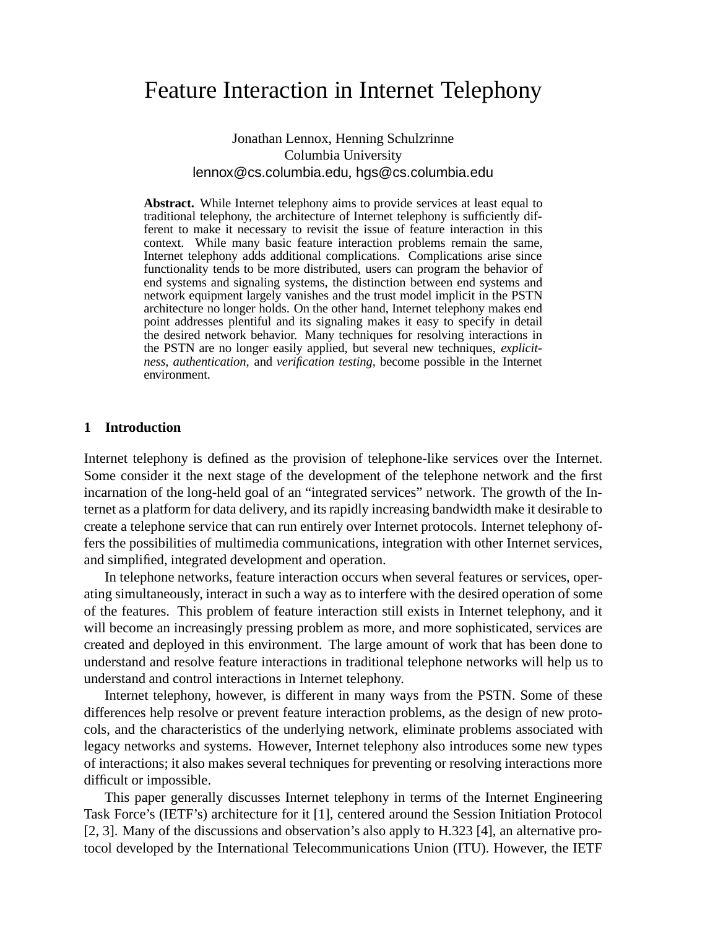# Feature Interaction in Internet Telephony

### Jonathan Lennox, Henning Schulzrinne Columbia University lennox@cs.columbia.edu, hgs@cs.columbia.edu

**Abstract.** While Internet telephony aims to provide services at least equal to traditional telephony, the architecture of Internet telephony is sufficiently different to make it necessary to revisit the issue of feature interaction in this context. While many basic feature interaction problems remain the same, Internet telephony adds additional complications. Complications arise since functionality tends to be more distributed, users can program the behavior of end systems and signaling systems, the distinction between end systems and network equipment largely vanishes and the trust model implicit in the PSTN architecture no longer holds. On the other hand, Internet telephony makes end point addresses plentiful and its signaling makes it easy to specify in detail the desired network behavior. Many techniques for resolving interactions in the PSTN are no longer easily applied, but several new techniques, *explicitness*, *authentication*, and *verification testing*, become possible in the Internet environment.

#### **1 Introduction**

Internet telephony is defined as the provision of telephone-like services over the Internet. Some consider it the next stage of the development of the telephone network and the first incarnation of the long-held goal of an "integrated services" network. The growth of the Internet as a platform for data delivery, and its rapidly increasing bandwidth make it desirable to create a telephone service that can run entirely over Internet protocols. Internet telephony offers the possibilities of multimedia communications, integration with other Internet services, and simplified, integrated development and operation.

In telephone networks, feature interaction occurs when several features or services, operating simultaneously, interact in such a way as to interfere with the desired operation of some of the features. This problem of feature interaction still exists in Internet telephony, and it will become an increasingly pressing problem as more, and more sophisticated, services are created and deployed in this environment. The large amount of work that has been done to understand and resolve feature interactions in traditional telephone networks will help us to understand and control interactions in Internet telephony.

Internet telephony, however, is different in many ways from the PSTN. Some of these differences help resolve or prevent feature interaction problems, as the design of new protocols, and the characteristics of the underlying network, eliminate problems associated with legacy networks and systems. However, Internet telephony also introduces some new types of interactions; it also makes several techniques for preventing or resolving interactions more difficult or impossible.

This paper generally discusses Internet telephony in terms of the Internet Engineering Task Force's (IETF's) architecture for it [1], centered around the Session Initiation Protocol [2, 3]. Many of the discussions and observation's also apply to H.323 [4], an alternative protocol developed by the International Telecommunications Union (ITU). However, the IETF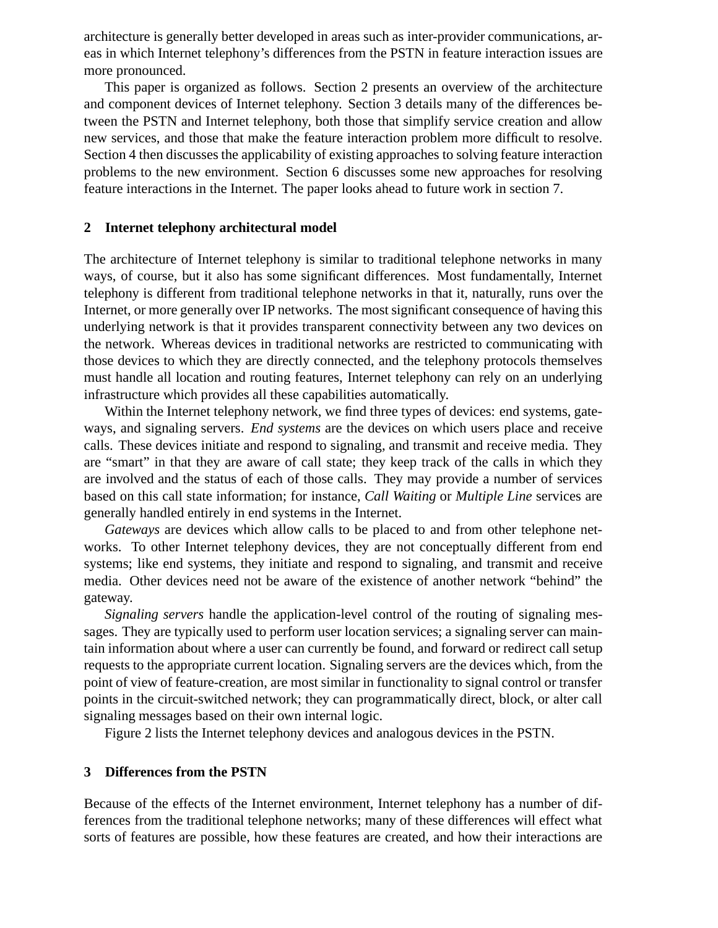architecture is generally better developed in areas such as inter-provider communications, areas in which Internet telephony's differences from the PSTN in feature interaction issues are more pronounced.

This paper is organized as follows. Section 2 presents an overview of the architecture and component devices of Internet telephony. Section 3 details many of the differences between the PSTN and Internet telephony, both those that simplify service creation and allow new services, and those that make the feature interaction problem more difficult to resolve. Section 4 then discusses the applicability of existing approaches to solving feature interaction problems to the new environment. Section 6 discusses some new approaches for resolving feature interactions in the Internet. The paper looks ahead to future work in section 7.

#### **2 Internet telephony architectural model**

The architecture of Internet telephony is similar to traditional telephone networks in many ways, of course, but it also has some significant differences. Most fundamentally, Internet telephony is different from traditional telephone networks in that it, naturally, runs over the Internet, or more generally over IP networks. The most significant consequence of having this underlying network is that it provides transparent connectivity between any two devices on the network. Whereas devices in traditional networks are restricted to communicating with those devices to which they are directly connected, and the telephony protocols themselves must handle all location and routing features, Internet telephony can rely on an underlying infrastructure which provides all these capabilities automatically.

Within the Internet telephony network, we find three types of devices: end systems, gateways, and signaling servers. *End systems* are the devices on which users place and receive calls. These devices initiate and respond to signaling, and transmit and receive media. They are "smart" in that they are aware of call state; they keep track of the calls in which they are involved and the status of each of those calls. They may provide a number of services based on this call state information; for instance, *Call Waiting* or *Multiple Line* services are generally handled entirely in end systems in the Internet.

*Gateways* are devices which allow calls to be placed to and from other telephone networks. To other Internet telephony devices, they are not conceptually different from end systems; like end systems, they initiate and respond to signaling, and transmit and receive media. Other devices need not be aware of the existence of another network "behind" the gateway.

*Signaling servers* handle the application-level control of the routing of signaling messages. They are typically used to perform user location services; a signaling server can maintain information about where a user can currently be found, and forward or redirect call setup requests to the appropriate current location. Signaling servers are the devices which, from the point of view of feature-creation, are most similar in functionality to signal control or transfer points in the circuit-switched network; they can programmatically direct, block, or alter call signaling messages based on their own internal logic.

Figure 2 lists the Internet telephony devices and analogous devices in the PSTN.

#### **3 Differences from the PSTN**

Because of the effects of the Internet environment, Internet telephony has a number of differences from the traditional telephone networks; many of these differences will effect what sorts of features are possible, how these features are created, and how their interactions are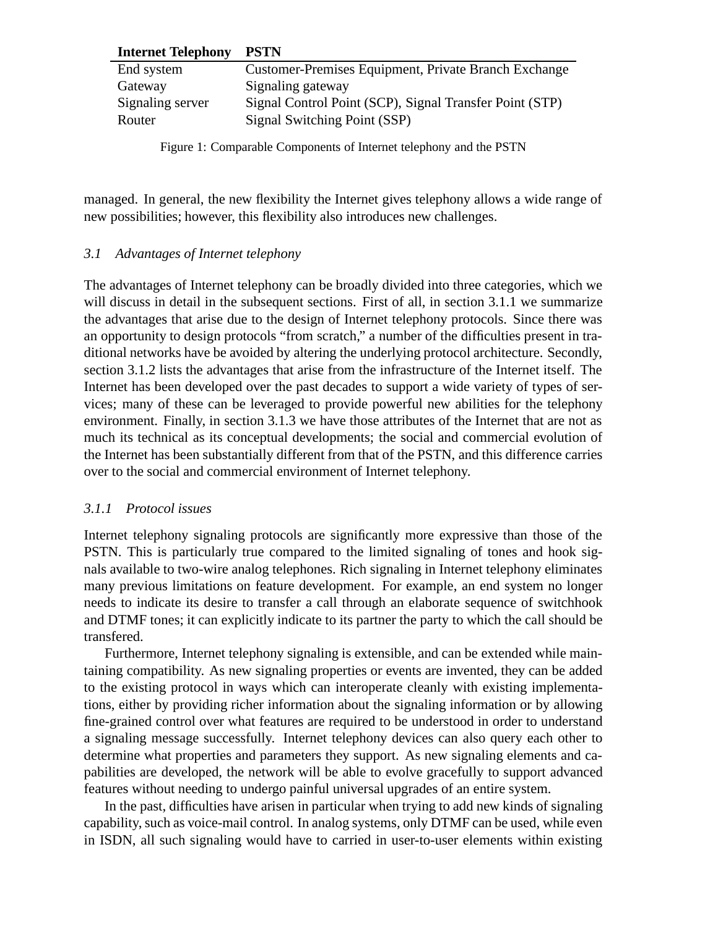#### **Internet Telephony PSTN**

| End system       | Customer-Premises Equipment, Private Branch Exchange    |
|------------------|---------------------------------------------------------|
| Gateway          | Signaling gateway                                       |
| Signaling server | Signal Control Point (SCP), Signal Transfer Point (STP) |
| Router           | Signal Switching Point (SSP)                            |
|                  |                                                         |

Figure 1: Comparable Components of Internet telephony and the PSTN

managed. In general, the new flexibility the Internet gives telephony allows a wide range of new possibilities; however, this flexibility also introduces new challenges.

#### *3.1 Advantages of Internet telephony*

The advantages of Internet telephony can be broadly divided into three categories, which we will discuss in detail in the subsequent sections. First of all, in section 3.1.1 we summarize the advantages that arise due to the design of Internet telephony protocols. Since there was an opportunity to design protocols "from scratch," a number of the difficulties present in traditional networks have be avoided by altering the underlying protocol architecture. Secondly, section 3.1.2 lists the advantages that arise from the infrastructure of the Internet itself. The Internet has been developed over the past decades to support a wide variety of types of services; many of these can be leveraged to provide powerful new abilities for the telephony environment. Finally, in section 3.1.3 we have those attributes of the Internet that are not as much its technical as its conceptual developments; the social and commercial evolution of the Internet has been substantially different from that of the PSTN, and this difference carries over to the social and commercial environment of Internet telephony.

#### *3.1.1 Protocol issues*

Internet telephony signaling protocols are significantly more expressive than those of the PSTN. This is particularly true compared to the limited signaling of tones and hook signals available to two-wire analog telephones. Rich signaling in Internet telephony eliminates many previous limitations on feature development. For example, an end system no longer needs to indicate its desire to transfer a call through an elaborate sequence of switchhook and DTMF tones; it can explicitly indicate to its partner the party to which the call should be transfered.

Furthermore, Internet telephony signaling is extensible, and can be extended while maintaining compatibility. As new signaling properties or events are invented, they can be added to the existing protocol in ways which can interoperate cleanly with existing implementations, either by providing richer information about the signaling information or by allowing fine-grained control over what features are required to be understood in order to understand a signaling message successfully. Internet telephony devices can also query each other to determine what properties and parameters they support. As new signaling elements and capabilities are developed, the network will be able to evolve gracefully to support advanced features without needing to undergo painful universal upgrades of an entire system.

In the past, difficulties have arisen in particular when trying to add new kinds of signaling capability, such as voice-mail control. In analog systems, only DTMF can be used, while even in ISDN, all such signaling would have to carried in user-to-user elements within existing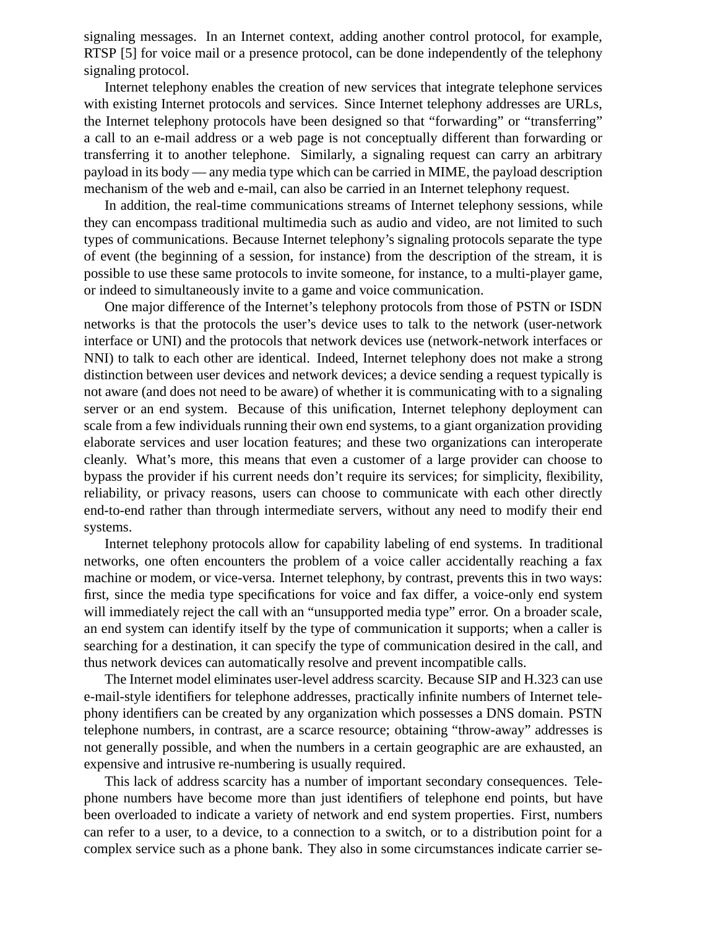signaling messages. In an Internet context, adding another control protocol, for example, RTSP [5] for voice mail or a presence protocol, can be done independently of the telephony signaling protocol.

Internet telephony enables the creation of new services that integrate telephone services with existing Internet protocols and services. Since Internet telephony addresses are URLs, the Internet telephony protocols have been designed so that "forwarding" or "transferring" a call to an e-mail address or a web page is not conceptually different than forwarding or transferring it to another telephone. Similarly, a signaling request can carry an arbitrary payload in its body — any media type which can be carried in MIME, the payload description mechanism of the web and e-mail, can also be carried in an Internet telephony request.

In addition, the real-time communications streams of Internet telephony sessions, while they can encompass traditional multimedia such as audio and video, are not limited to such types of communications. Because Internet telephony's signaling protocols separate the type of event (the beginning of a session, for instance) from the description of the stream, it is possible to use these same protocols to invite someone, for instance, to a multi-player game, or indeed to simultaneously invite to a game and voice communication.

One major difference of the Internet's telephony protocols from those of PSTN or ISDN networks is that the protocols the user's device uses to talk to the network (user-network interface or UNI) and the protocols that network devices use (network-network interfaces or NNI) to talk to each other are identical. Indeed, Internet telephony does not make a strong distinction between user devices and network devices; a device sending a request typically is not aware (and does not need to be aware) of whether it is communicating with to a signaling server or an end system. Because of this unification, Internet telephony deployment can scale from a few individuals running their own end systems, to a giant organization providing elaborate services and user location features; and these two organizations can interoperate cleanly. What's more, this means that even a customer of a large provider can choose to bypass the provider if his current needs don't require its services; for simplicity, flexibility, reliability, or privacy reasons, users can choose to communicate with each other directly end-to-end rather than through intermediate servers, without any need to modify their end systems.

Internet telephony protocols allow for capability labeling of end systems. In traditional networks, one often encounters the problem of a voice caller accidentally reaching a fax machine or modem, or vice-versa. Internet telephony, by contrast, prevents this in two ways: first, since the media type specifications for voice and fax differ, a voice-only end system will immediately reject the call with an "unsupported media type" error. On a broader scale, an end system can identify itself by the type of communication it supports; when a caller is searching for a destination, it can specify the type of communication desired in the call, and thus network devices can automatically resolve and prevent incompatible calls.

The Internet model eliminates user-level address scarcity. Because SIP and H.323 can use e-mail-style identifiers for telephone addresses, practically infinite numbers of Internet telephony identifiers can be created by any organization which possesses a DNS domain. PSTN telephone numbers, in contrast, are a scarce resource; obtaining "throw-away" addresses is not generally possible, and when the numbers in a certain geographic are are exhausted, an expensive and intrusive re-numbering is usually required.

This lack of address scarcity has a number of important secondary consequences. Telephone numbers have become more than just identifiers of telephone end points, but have been overloaded to indicate a variety of network and end system properties. First, numbers can refer to a user, to a device, to a connection to a switch, or to a distribution point for a complex service such as a phone bank. They also in some circumstances indicate carrier se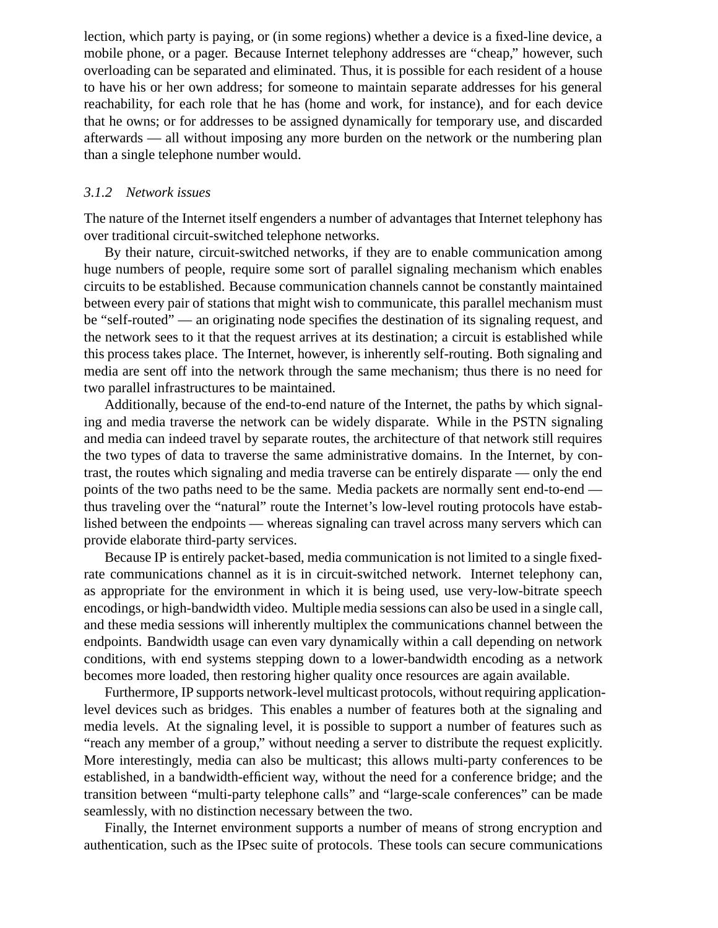lection, which party is paying, or (in some regions) whether a device is a fixed-line device, a mobile phone, or a pager. Because Internet telephony addresses are "cheap," however, such overloading can be separated and eliminated. Thus, it is possible for each resident of a house to have his or her own address; for someone to maintain separate addresses for his general reachability, for each role that he has (home and work, for instance), and for each device that he owns; or for addresses to be assigned dynamically for temporary use, and discarded afterwards — all without imposing any more burden on the network or the numbering plan than a single telephone number would.

#### *3.1.2 Network issues*

The nature of the Internet itself engenders a number of advantages that Internet telephony has over traditional circuit-switched telephone networks.

By their nature, circuit-switched networks, if they are to enable communication among huge numbers of people, require some sort of parallel signaling mechanism which enables circuits to be established. Because communication channels cannot be constantly maintained between every pair of stations that might wish to communicate, this parallel mechanism must be "self-routed" — an originating node specifies the destination of its signaling request, and the network sees to it that the request arrives at its destination; a circuit is established while this process takes place. The Internet, however, is inherently self-routing. Both signaling and media are sent off into the network through the same mechanism; thus there is no need for two parallel infrastructures to be maintained.

Additionally, because of the end-to-end nature of the Internet, the paths by which signaling and media traverse the network can be widely disparate. While in the PSTN signaling and media can indeed travel by separate routes, the architecture of that network still requires the two types of data to traverse the same administrative domains. In the Internet, by contrast, the routes which signaling and media traverse can be entirely disparate — only the end points of the two paths need to be the same. Media packets are normally sent end-to-end thus traveling over the "natural" route the Internet's low-level routing protocols have established between the endpoints — whereas signaling can travel across many servers which can provide elaborate third-party services.

Because IP is entirely packet-based, media communication is not limited to a single fixedrate communications channel as it is in circuit-switched network. Internet telephony can, as appropriate for the environment in which it is being used, use very-low-bitrate speech encodings, or high-bandwidth video. Multiple media sessions can also be used in a single call, and these media sessions will inherently multiplex the communications channel between the endpoints. Bandwidth usage can even vary dynamically within a call depending on network conditions, with end systems stepping down to a lower-bandwidth encoding as a network becomes more loaded, then restoring higher quality once resources are again available.

Furthermore, IP supports network-level multicast protocols, without requiring applicationlevel devices such as bridges. This enables a number of features both at the signaling and media levels. At the signaling level, it is possible to support a number of features such as "reach any member of a group," without needing a server to distribute the request explicitly. More interestingly, media can also be multicast; this allows multi-party conferences to be established, in a bandwidth-efficient way, without the need for a conference bridge; and the transition between "multi-party telephone calls" and "large-scale conferences" can be made seamlessly, with no distinction necessary between the two.

Finally, the Internet environment supports a number of means of strong encryption and authentication, such as the IPsec suite of protocols. These tools can secure communications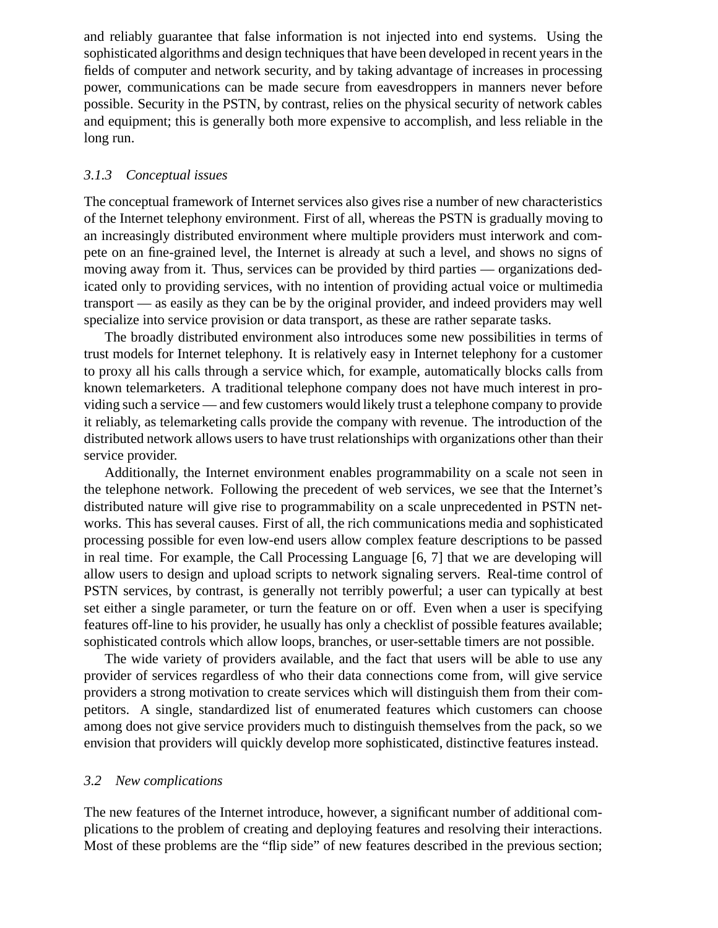and reliably guarantee that false information is not injected into end systems. Using the sophisticated algorithms and design techniques that have been developed in recent years in the fields of computer and network security, and by taking advantage of increases in processing power, communications can be made secure from eavesdroppers in manners never before possible. Security in the PSTN, by contrast, relies on the physical security of network cables and equipment; this is generally both more expensive to accomplish, and less reliable in the long run.

#### *3.1.3 Conceptual issues*

The conceptual framework of Internet services also gives rise a number of new characteristics of the Internet telephony environment. First of all, whereas the PSTN is gradually moving to an increasingly distributed environment where multiple providers must interwork and compete on an fine-grained level, the Internet is already at such a level, and shows no signs of moving away from it. Thus, services can be provided by third parties — organizations dedicated only to providing services, with no intention of providing actual voice or multimedia transport — as easily as they can be by the original provider, and indeed providers may well specialize into service provision or data transport, as these are rather separate tasks.

The broadly distributed environment also introduces some new possibilities in terms of trust models for Internet telephony. It is relatively easy in Internet telephony for a customer to proxy all his calls through a service which, for example, automatically blocks calls from known telemarketers. A traditional telephone company does not have much interest in providing such a service — and few customers would likely trust a telephone company to provide it reliably, as telemarketing calls provide the company with revenue. The introduction of the distributed network allows users to have trust relationships with organizations other than their service provider.

Additionally, the Internet environment enables programmability on a scale not seen in the telephone network. Following the precedent of web services, we see that the Internet's distributed nature will give rise to programmability on a scale unprecedented in PSTN networks. This has several causes. First of all, the rich communications media and sophisticated processing possible for even low-end users allow complex feature descriptions to be passed in real time. For example, the Call Processing Language [6, 7] that we are developing will allow users to design and upload scripts to network signaling servers. Real-time control of PSTN services, by contrast, is generally not terribly powerful; a user can typically at best set either a single parameter, or turn the feature on or off. Even when a user is specifying features off-line to his provider, he usually has only a checklist of possible features available; sophisticated controls which allow loops, branches, or user-settable timers are not possible.

The wide variety of providers available, and the fact that users will be able to use any provider of services regardless of who their data connections come from, will give service providers a strong motivation to create services which will distinguish them from their competitors. A single, standardized list of enumerated features which customers can choose among does not give service providers much to distinguish themselves from the pack, so we envision that providers will quickly develop more sophisticated, distinctive features instead.

#### *3.2 New complications*

The new features of the Internet introduce, however, a significant number of additional complications to the problem of creating and deploying features and resolving their interactions. Most of these problems are the "flip side" of new features described in the previous section;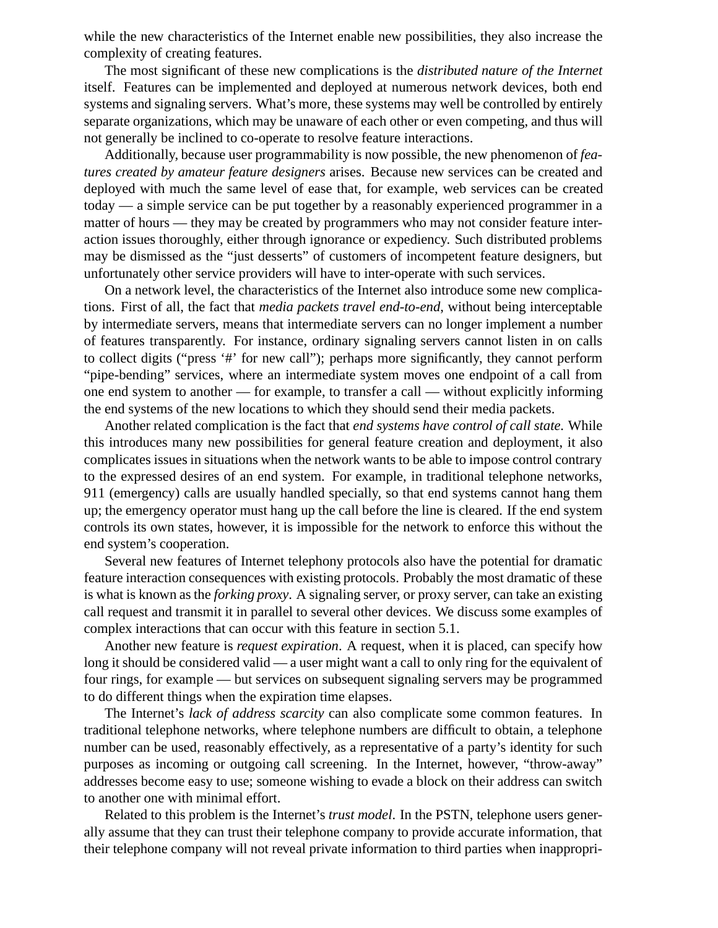while the new characteristics of the Internet enable new possibilities, they also increase the complexity of creating features.

The most significant of these new complications is the *distributed nature of the Internet* itself. Features can be implemented and deployed at numerous network devices, both end systems and signaling servers. What's more, these systems may well be controlled by entirely separate organizations, which may be unaware of each other or even competing, and thus will not generally be inclined to co-operate to resolve feature interactions.

Additionally, because user programmability is now possible, the new phenomenon of *features created by amateur feature designers* arises. Because new services can be created and deployed with much the same level of ease that, for example, web services can be created today — a simple service can be put together by a reasonably experienced programmer in a matter of hours — they may be created by programmers who may not consider feature interaction issues thoroughly, either through ignorance or expediency. Such distributed problems may be dismissed as the "just desserts" of customers of incompetent feature designers, but unfortunately other service providers will have to inter-operate with such services.

On a network level, the characteristics of the Internet also introduce some new complications. First of all, the fact that *media packets travel end-to-end*, without being interceptable by intermediate servers, means that intermediate servers can no longer implement a number of features transparently. For instance, ordinary signaling servers cannot listen in on calls to collect digits ("press '#' for new call"); perhaps more significantly, they cannot perform "pipe-bending" services, where an intermediate system moves one endpoint of a call from one end system to another — for example, to transfer a call — without explicitly informing the end systems of the new locations to which they should send their media packets.

Another related complication is the fact that *end systems have control of call state*. While this introduces many new possibilities for general feature creation and deployment, it also complicates issues in situations when the network wants to be able to impose control contrary to the expressed desires of an end system. For example, in traditional telephone networks, 911 (emergency) calls are usually handled specially, so that end systems cannot hang them up; the emergency operator must hang up the call before the line is cleared. If the end system controls its own states, however, it is impossible for the network to enforce this without the end system's cooperation.

Several new features of Internet telephony protocols also have the potential for dramatic feature interaction consequences with existing protocols. Probably the most dramatic of these is what is known as the *forking proxy*. A signaling server, or proxy server, can take an existing call request and transmit it in parallel to several other devices. We discuss some examples of complex interactions that can occur with this feature in section 5.1.

Another new feature is *request expiration*. A request, when it is placed, can specify how long it should be considered valid — a user might want a call to only ring for the equivalent of four rings, for example — but services on subsequent signaling servers may be programmed to do different things when the expiration time elapses.

The Internet's *lack of address scarcity* can also complicate some common features. In traditional telephone networks, where telephone numbers are difficult to obtain, a telephone number can be used, reasonably effectively, as a representative of a party's identity for such purposes as incoming or outgoing call screening. In the Internet, however, "throw-away" addresses become easy to use; someone wishing to evade a block on their address can switch to another one with minimal effort.

Related to this problem is the Internet's *trust model*. In the PSTN, telephone users generally assume that they can trust their telephone company to provide accurate information, that their telephone company will not reveal private information to third parties when inappropri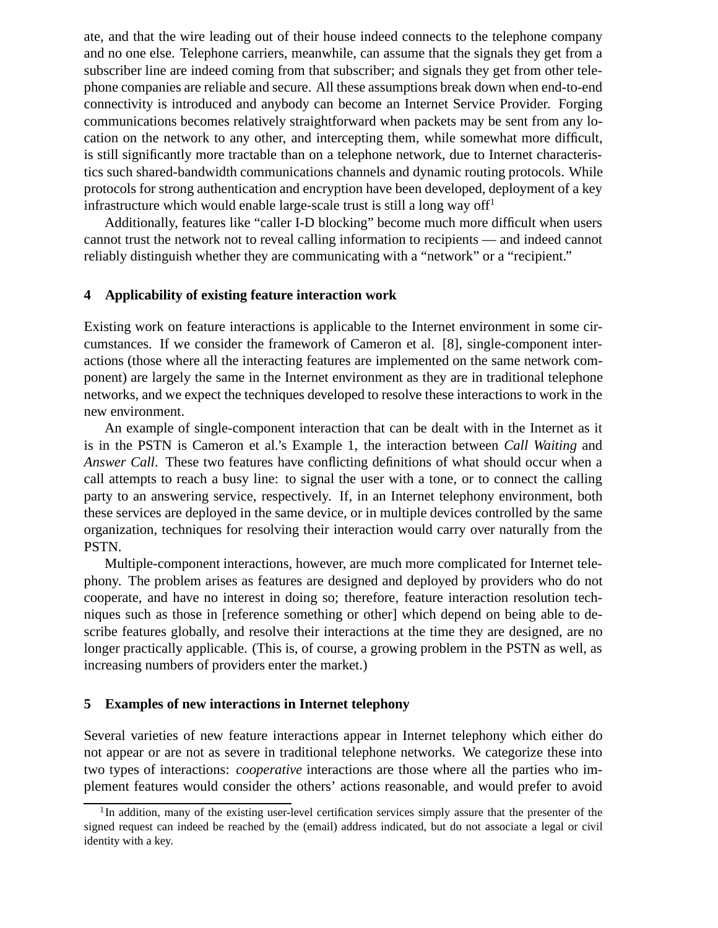ate, and that the wire leading out of their house indeed connects to the telephone company and no one else. Telephone carriers, meanwhile, can assume that the signals they get from a subscriber line are indeed coming from that subscriber; and signals they get from other telephone companies are reliable and secure. All these assumptions break down when end-to-end connectivity is introduced and anybody can become an Internet Service Provider. Forging communications becomes relatively straightforward when packets may be sent from any location on the network to any other, and intercepting them, while somewhat more difficult, is still significantly more tractable than on a telephone network, due to Internet characteristics such shared-bandwidth communications channels and dynamic routing protocols. While protocols for strong authentication and encryption have been developed, deployment of a key infrastructure which would enable large-scale trust is still a long way of  $f<sup>1</sup>$ 

Additionally, features like "caller I-D blocking" become much more difficult when users cannot trust the network not to reveal calling information to recipients — and indeed cannot reliably distinguish whether they are communicating with a "network" or a "recipient."

#### **4 Applicability of existing feature interaction work**

Existing work on feature interactions is applicable to the Internet environment in some circumstances. If we consider the framework of Cameron et al. [8], single-component interactions (those where all the interacting features are implemented on the same network component) are largely the same in the Internet environment as they are in traditional telephone networks, and we expect the techniques developed to resolve these interactions to work in the new environment.

An example of single-component interaction that can be dealt with in the Internet as it is in the PSTN is Cameron et al.'s Example 1, the interaction between *Call Waiting* and *Answer Call*. These two features have conflicting definitions of what should occur when a call attempts to reach a busy line: to signal the user with a tone, or to connect the calling party to an answering service, respectively. If, in an Internet telephony environment, both these services are deployed in the same device, or in multiple devices controlled by the same organization, techniques for resolving their interaction would carry over naturally from the PSTN.

Multiple-component interactions, however, are much more complicated for Internet telephony. The problem arises as features are designed and deployed by providers who do not cooperate, and have no interest in doing so; therefore, feature interaction resolution techniques such as those in [reference something or other] which depend on being able to describe features globally, and resolve their interactions at the time they are designed, are no longer practically applicable. (This is, of course, a growing problem in the PSTN as well, as increasing numbers of providers enter the market.)

#### **5 Examples of new interactions in Internet telephony**

Several varieties of new feature interactions appear in Internet telephony which either do not appear or are not as severe in traditional telephone networks. We categorize these into two types of interactions: *cooperative* interactions are those where all the parties who implement features would consider the others' actions reasonable, and would prefer to avoid

 $1$ In addition, many of the existing user-level certification services simply assure that the presenter of the signed request can indeed be reached by the (email) address indicated, but do not associate a legal or civil identity with a key.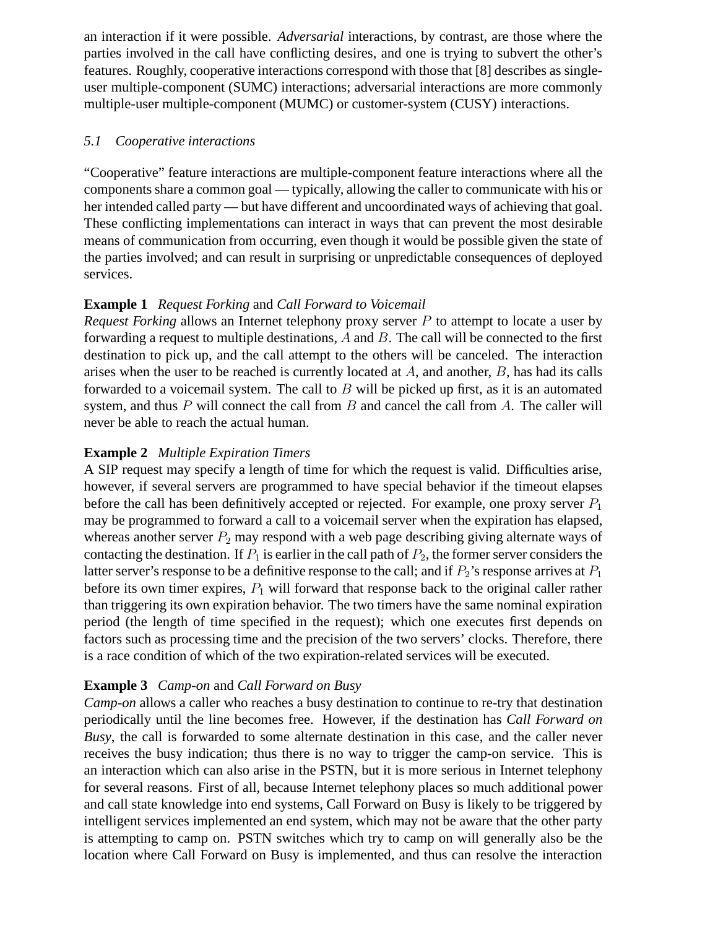an interaction if it were possible. *Adversarial* interactions, by contrast, are those where the parties involved in the call have conflicting desires, and one is trying to subvert the other's features. Roughly, cooperative interactions correspond with those that [8] describes as singleuser multiple-component (SUMC) interactions; adversarial interactions are more commonly multiple-user multiple-component (MUMC) or customer-system (CUSY) interactions.

## *5.1 Cooperative interactions*

"Cooperative" feature interactions are multiple-component feature interactions where all the components share a common goal — typically, allowing the caller to communicate with his or her intended called party — but have different and uncoordinated ways of achieving that goal. These conflicting implementations can interact in ways that can prevent the most desirable means of communication from occurring, even though it would be possible given the state of the parties involved; and can result in surprising or unpredictable consequences of deployed services.

# **Example 1** *Request Forking* and *Call Forward to Voicemail*

*Request Forking* allows an Internet telephony proxy server P to attempt to locate a user by forwarding a request to multiple destinations,  $A$  and  $B$ . The call will be connected to the first destination to pick up, and the call attempt to the others will be canceled. The interaction arises when the user to be reached is currently located at A, and another, B, has had its calls forwarded to a voicemail system. The call to  $B$  will be picked up first, as it is an automated system, and thus  $P$  will connect the call from  $B$  and cancel the call from  $A$ . The caller will never be able to reach the actual human.

# **Example 2** *Multiple Expiration Timers*

A SIP request may specify a length of time for which the request is valid. Difficulties arise, however, if several servers are programmed to have special behavior if the timeout elapses before the call has been definitively accepted or rejected. For example, one proxy server  $P_1$ may be programmed to forward a call to a voicemail server when the expiration has elapsed, whereas another server  $P_2$  may respond with a web page describing giving alternate ways of contacting the destination. If  $P_1$  is earlier in the call path of  $P_2$ , the former server considers the latter server's response to be a definitive response to the call; and if  $P_2$ 's response arrives at  $P_1$ before its own timer expires,  $P_1$  will forward that response back to the original caller rather than triggering its own expiration behavior. The two timers have the same nominal expiration period (the length of time specified in the request); which one executes first depends on factors such as processing time and the precision of the two servers' clocks. Therefore, there is a race condition of which of the two expiration-related services will be executed.

### **Example 3** *Camp-on* and *Call Forward on Busy*

*Camp-on* allows a caller who reaches a busy destination to continue to re-try that destination periodically until the line becomes free. However, if the destination has *Call Forward on Busy*, the call is forwarded to some alternate destination in this case, and the caller never receives the busy indication; thus there is no way to trigger the camp-on service. This is an interaction which can also arise in the PSTN, but it is more serious in Internet telephony for several reasons. First of all, because Internet telephony places so much additional power and call state knowledge into end systems, Call Forward on Busy is likely to be triggered by intelligent services implemented an end system, which may not be aware that the other party is attempting to camp on. PSTN switches which try to camp on will generally also be the location where Call Forward on Busy is implemented, and thus can resolve the interaction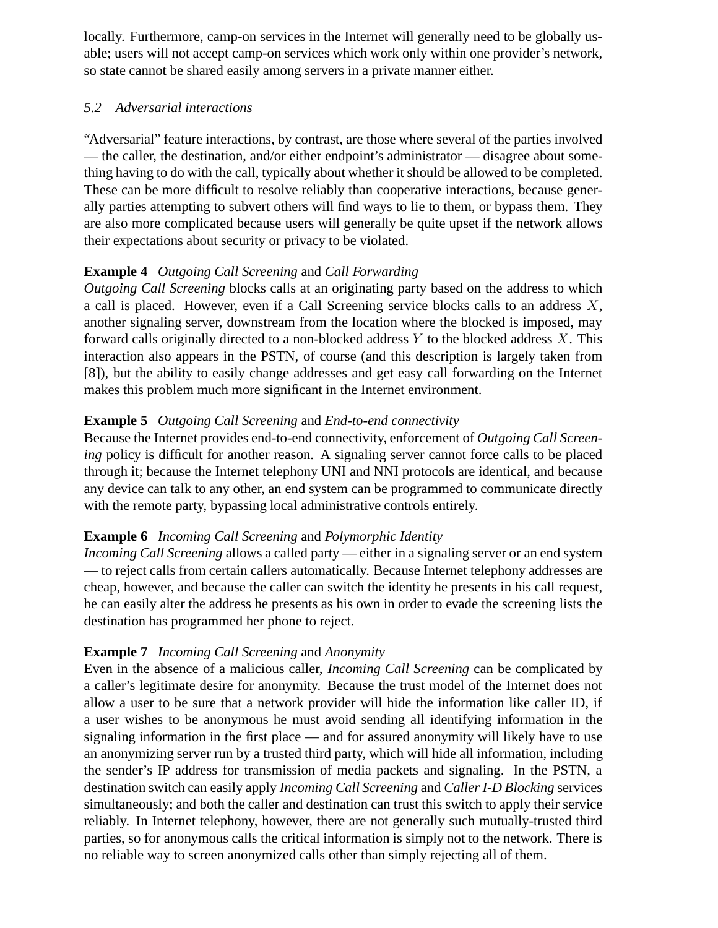locally. Furthermore, camp-on services in the Internet will generally need to be globally usable; users will not accept camp-on services which work only within one provider's network, so state cannot be shared easily among servers in a private manner either.

## *5.2 Adversarial interactions*

"Adversarial" feature interactions, by contrast, are those where several of the parties involved — the caller, the destination, and/or either endpoint's administrator — disagree about something having to do with the call, typically about whether it should be allowed to be completed. These can be more difficult to resolve reliably than cooperative interactions, because generally parties attempting to subvert others will find ways to lie to them, or bypass them. They are also more complicated because users will generally be quite upset if the network allows their expectations about security or privacy to be violated.

# **Example 4** *Outgoing Call Screening* and *Call Forwarding*

*Outgoing Call Screening* blocks calls at an originating party based on the address to which a call is placed. However, even if a Call Screening service blocks calls to an address  $X$ , another signaling server, downstream from the location where the blocked is imposed, may forward calls originally directed to a non-blocked address  $Y$  to the blocked address  $X$ . This interaction also appears in the PSTN, of course (and this description is largely taken from [8]), but the ability to easily change addresses and get easy call forwarding on the Internet makes this problem much more significant in the Internet environment.

# **Example 5** *Outgoing Call Screening* and *End-to-end connectivity*

Because the Internet provides end-to-end connectivity, enforcement of *Outgoing Call Screening* policy is difficult for another reason. A signaling server cannot force calls to be placed through it; because the Internet telephony UNI and NNI protocols are identical, and because any device can talk to any other, an end system can be programmed to communicate directly with the remote party, bypassing local administrative controls entirely.

### **Example 6** *Incoming Call Screening* and *Polymorphic Identity*

*Incoming Call Screening* allows a called party — either in a signaling server or an end system — to reject calls from certain callers automatically. Because Internet telephony addresses are cheap, however, and because the caller can switch the identity he presents in his call request, he can easily alter the address he presents as his own in order to evade the screening lists the destination has programmed her phone to reject.

# **Example 7** *Incoming Call Screening* and *Anonymity*

Even in the absence of a malicious caller, *Incoming Call Screening* can be complicated by a caller's legitimate desire for anonymity. Because the trust model of the Internet does not allow a user to be sure that a network provider will hide the information like caller ID, if a user wishes to be anonymous he must avoid sending all identifying information in the signaling information in the first place — and for assured anonymity will likely have to use an anonymizing server run by a trusted third party, which will hide all information, including the sender's IP address for transmission of media packets and signaling. In the PSTN, a destination switch can easily apply *Incoming Call Screening* and *Caller I-D Blocking* services simultaneously; and both the caller and destination can trust this switch to apply their service reliably. In Internet telephony, however, there are not generally such mutually-trusted third parties, so for anonymous calls the critical information is simply not to the network. There is no reliable way to screen anonymized calls other than simply rejecting all of them.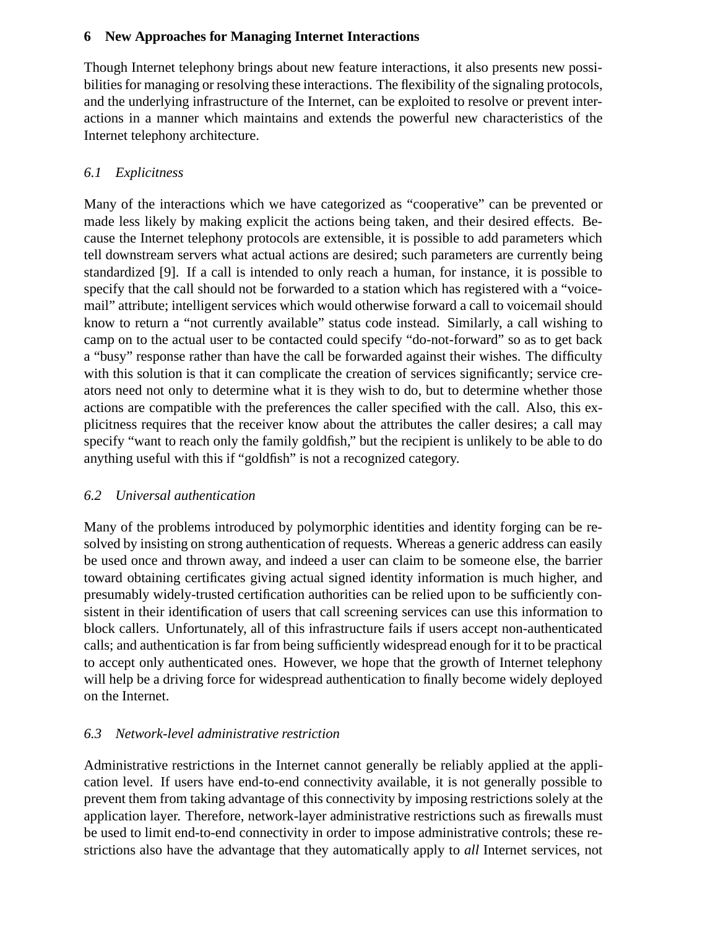### **6 New Approaches for Managing Internet Interactions**

Though Internet telephony brings about new feature interactions, it also presents new possibilities for managing or resolving these interactions. The flexibility of the signaling protocols, and the underlying infrastructure of the Internet, can be exploited to resolve or prevent interactions in a manner which maintains and extends the powerful new characteristics of the Internet telephony architecture.

# *6.1 Explicitness*

Many of the interactions which we have categorized as "cooperative" can be prevented or made less likely by making explicit the actions being taken, and their desired effects. Because the Internet telephony protocols are extensible, it is possible to add parameters which tell downstream servers what actual actions are desired; such parameters are currently being standardized [9]. If a call is intended to only reach a human, for instance, it is possible to specify that the call should not be forwarded to a station which has registered with a "voicemail" attribute; intelligent services which would otherwise forward a call to voicemail should know to return a "not currently available" status code instead. Similarly, a call wishing to camp on to the actual user to be contacted could specify "do-not-forward" so as to get back a "busy" response rather than have the call be forwarded against their wishes. The difficulty with this solution is that it can complicate the creation of services significantly; service creators need not only to determine what it is they wish to do, but to determine whether those actions are compatible with the preferences the caller specified with the call. Also, this explicitness requires that the receiver know about the attributes the caller desires; a call may specify "want to reach only the family goldfish," but the recipient is unlikely to be able to do anything useful with this if "goldfish" is not a recognized category.

### *6.2 Universal authentication*

Many of the problems introduced by polymorphic identities and identity forging can be resolved by insisting on strong authentication of requests. Whereas a generic address can easily be used once and thrown away, and indeed a user can claim to be someone else, the barrier toward obtaining certificates giving actual signed identity information is much higher, and presumably widely-trusted certification authorities can be relied upon to be sufficiently consistent in their identification of users that call screening services can use this information to block callers. Unfortunately, all of this infrastructure fails if users accept non-authenticated calls; and authentication is far from being sufficiently widespread enough for it to be practical to accept only authenticated ones. However, we hope that the growth of Internet telephony will help be a driving force for widespread authentication to finally become widely deployed on the Internet.

### *6.3 Network-level administrative restriction*

Administrative restrictions in the Internet cannot generally be reliably applied at the application level. If users have end-to-end connectivity available, it is not generally possible to prevent them from taking advantage of this connectivity by imposing restrictions solely at the application layer. Therefore, network-layer administrative restrictions such as firewalls must be used to limit end-to-end connectivity in order to impose administrative controls; these restrictions also have the advantage that they automatically apply to *all* Internet services, not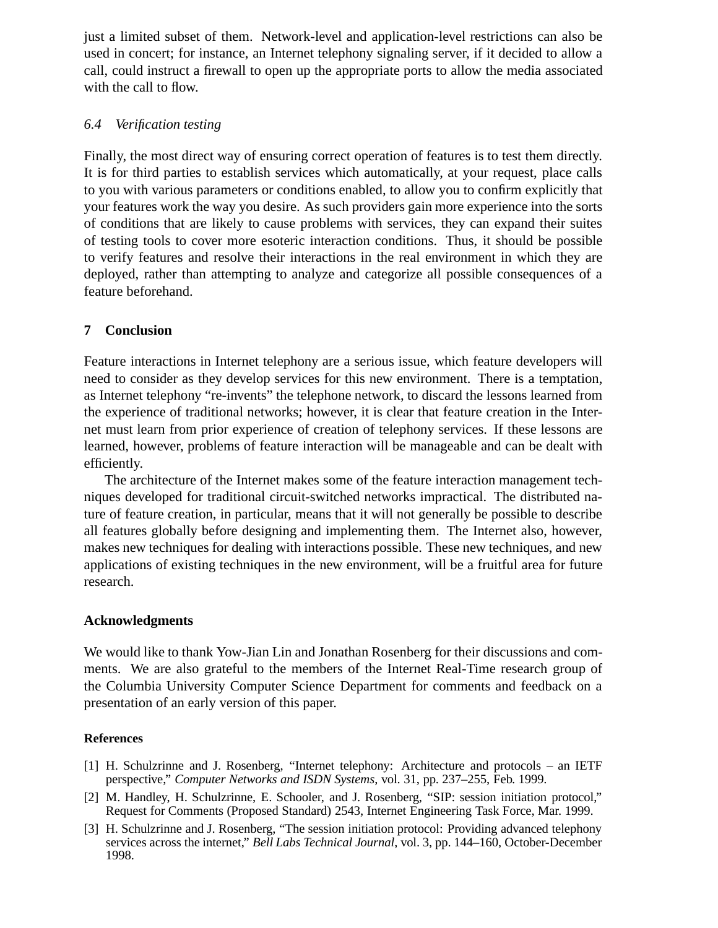just a limited subset of them. Network-level and application-level restrictions can also be used in concert; for instance, an Internet telephony signaling server, if it decided to allow a call, could instruct a firewall to open up the appropriate ports to allow the media associated with the call to flow.

### *6.4 Verification testing*

Finally, the most direct way of ensuring correct operation of features is to test them directly. It is for third parties to establish services which automatically, at your request, place calls to you with various parameters or conditions enabled, to allow you to confirm explicitly that your features work the way you desire. As such providers gain more experience into the sorts of conditions that are likely to cause problems with services, they can expand their suites of testing tools to cover more esoteric interaction conditions. Thus, it should be possible to verify features and resolve their interactions in the real environment in which they are deployed, rather than attempting to analyze and categorize all possible consequences of a feature beforehand.

### **7 Conclusion**

Feature interactions in Internet telephony are a serious issue, which feature developers will need to consider as they develop services for this new environment. There is a temptation, as Internet telephony "re-invents" the telephone network, to discard the lessons learned from the experience of traditional networks; however, it is clear that feature creation in the Internet must learn from prior experience of creation of telephony services. If these lessons are learned, however, problems of feature interaction will be manageable and can be dealt with efficiently.

The architecture of the Internet makes some of the feature interaction management techniques developed for traditional circuit-switched networks impractical. The distributed nature of feature creation, in particular, means that it will not generally be possible to describe all features globally before designing and implementing them. The Internet also, however, makes new techniques for dealing with interactions possible. These new techniques, and new applications of existing techniques in the new environment, will be a fruitful area for future research.

#### **Acknowledgments**

We would like to thank Yow-Jian Lin and Jonathan Rosenberg for their discussions and comments. We are also grateful to the members of the Internet Real-Time research group of the Columbia University Computer Science Department for comments and feedback on a presentation of an early version of this paper.

#### **References**

- [1] H. Schulzrinne and J. Rosenberg, "Internet telephony: Architecture and protocols an IETF perspective," *Computer Networks and ISDN Systems*, vol. 31, pp. 237–255, Feb. 1999.
- [2] M. Handley, H. Schulzrinne, E. Schooler, and J. Rosenberg, "SIP: session initiation protocol," Request for Comments (Proposed Standard) 2543, Internet Engineering Task Force, Mar. 1999.
- [3] H. Schulzrinne and J. Rosenberg, "The session initiation protocol: Providing advanced telephony services across the internet," *Bell Labs Technical Journal*, vol. 3, pp. 144–160, October-December 1998.